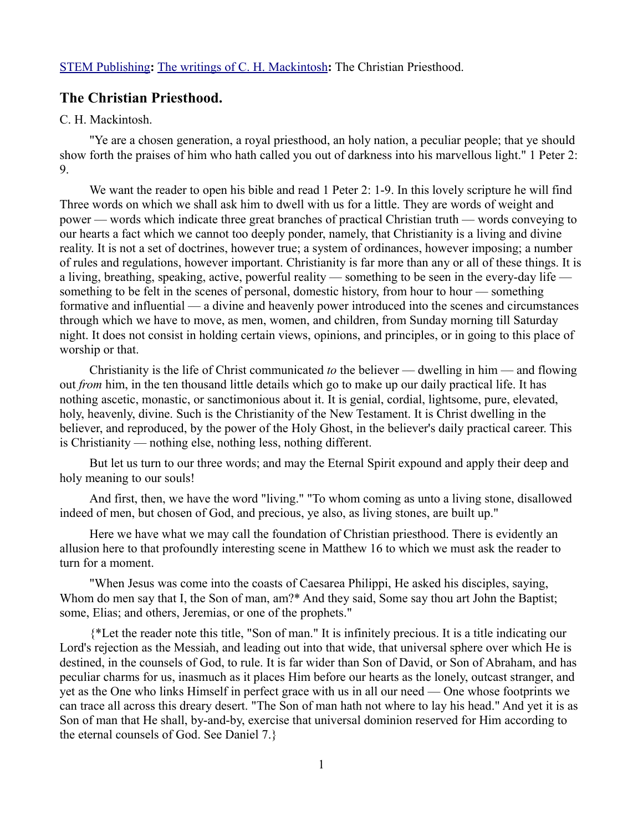## **The Christian Priesthood.**

## C. H. Mackintosh.

"Ye are a chosen generation, a royal priesthood, an holy nation, a peculiar people; that ye should show forth the praises of him who hath called you out of darkness into his marvellous light." 1 Peter 2: 9.

We want the reader to open his bible and read 1 Peter 2: 1-9. In this lovely scripture he will find Three words on which we shall ask him to dwell with us for a little. They are words of weight and power — words which indicate three great branches of practical Christian truth — words conveying to our hearts a fact which we cannot too deeply ponder, namely, that Christianity is a living and divine reality. It is not a set of doctrines, however true; a system of ordinances, however imposing; a number of rules and regulations, however important. Christianity is far more than any or all of these things. It is a living, breathing, speaking, active, powerful reality — something to be seen in the every-day life something to be felt in the scenes of personal, domestic history, from hour to hour — something formative and influential — a divine and heavenly power introduced into the scenes and circumstances through which we have to move, as men, women, and children, from Sunday morning till Saturday night. It does not consist in holding certain views, opinions, and principles, or in going to this place of worship or that.

Christianity is the life of Christ communicated *to* the believer — dwelling in him — and flowing out *from* him, in the ten thousand little details which go to make up our daily practical life. It has nothing ascetic, monastic, or sanctimonious about it. It is genial, cordial, lightsome, pure, elevated, holy, heavenly, divine. Such is the Christianity of the New Testament. It is Christ dwelling in the believer, and reproduced, by the power of the Holy Ghost, in the believer's daily practical career. This is Christianity — nothing else, nothing less, nothing different.

But let us turn to our three words; and may the Eternal Spirit expound and apply their deep and holy meaning to our souls!

And first, then, we have the word "living." "To whom coming as unto a living stone, disallowed indeed of men, but chosen of God, and precious, ye also, as living stones, are built up."

Here we have what we may call the foundation of Christian priesthood. There is evidently an allusion here to that profoundly interesting scene in Matthew 16 to which we must ask the reader to turn for a moment.

"When Jesus was come into the coasts of Caesarea Philippi, He asked his disciples, saying, Whom do men say that I, the Son of man, am?\* And they said, Some say thou art John the Baptist; some, Elias; and others, Jeremias, or one of the prophets."

{\*Let the reader note this title, "Son of man." It is infinitely precious. It is a title indicating our Lord's rejection as the Messiah, and leading out into that wide, that universal sphere over which He is destined, in the counsels of God, to rule. It is far wider than Son of David, or Son of Abraham, and has peculiar charms for us, inasmuch as it places Him before our hearts as the lonely, outcast stranger, and yet as the One who links Himself in perfect grace with us in all our need — One whose footprints we can trace all across this dreary desert. "The Son of man hath not where to lay his head." And yet it is as Son of man that He shall, by-and-by, exercise that universal dominion reserved for Him according to the eternal counsels of God. See Daniel 7.}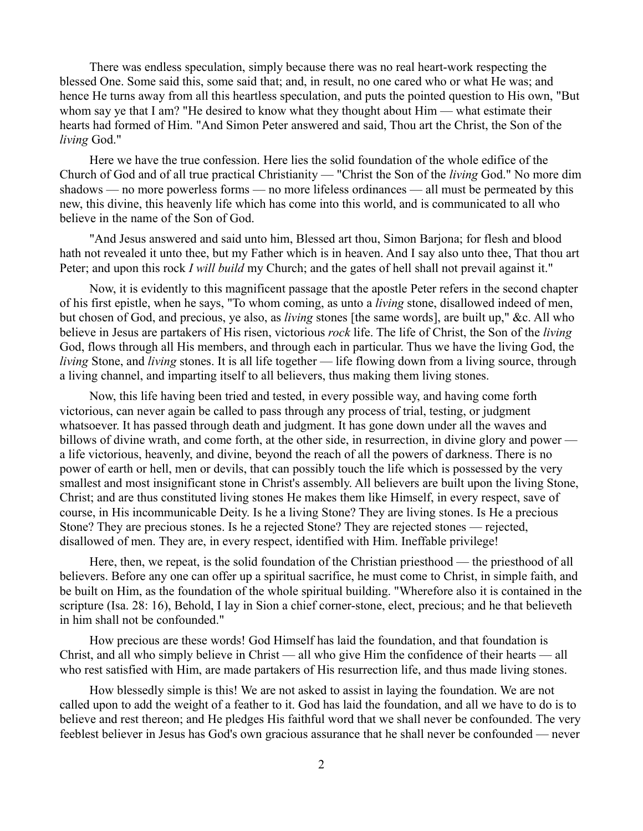There was endless speculation, simply because there was no real heart-work respecting the blessed One. Some said this, some said that; and, in result, no one cared who or what He was; and hence He turns away from all this heartless speculation, and puts the pointed question to His own, "But whom say ye that I am? "He desired to know what they thought about Him — what estimate their hearts had formed of Him. "And Simon Peter answered and said, Thou art the Christ, the Son of the *living* God."

Here we have the true confession. Here lies the solid foundation of the whole edifice of the Church of God and of all true practical Christianity — "Christ the Son of the *living* God." No more dim shadows — no more powerless forms — no more lifeless ordinances — all must be permeated by this new, this divine, this heavenly life which has come into this world, and is communicated to all who believe in the name of the Son of God.

"And Jesus answered and said unto him, Blessed art thou, Simon Barjona; for flesh and blood hath not revealed it unto thee, but my Father which is in heaven. And I say also unto thee, That thou art Peter; and upon this rock *I will build* my Church; and the gates of hell shall not prevail against it."

Now, it is evidently to this magnificent passage that the apostle Peter refers in the second chapter of his first epistle, when he says, "To whom coming, as unto a *living* stone, disallowed indeed of men, but chosen of God, and precious, ye also, as *living* stones [the same words], are built up," &c. All who believe in Jesus are partakers of His risen, victorious *rock* life. The life of Christ, the Son of the *living* God, flows through all His members, and through each in particular. Thus we have the living God, the *living* Stone, and *living* stones. It is all life together — life flowing down from a living source, through a living channel, and imparting itself to all believers, thus making them living stones.

Now, this life having been tried and tested, in every possible way, and having come forth victorious, can never again be called to pass through any process of trial, testing, or judgment whatsoever. It has passed through death and judgment. It has gone down under all the waves and billows of divine wrath, and come forth, at the other side, in resurrection, in divine glory and power a life victorious, heavenly, and divine, beyond the reach of all the powers of darkness. There is no power of earth or hell, men or devils, that can possibly touch the life which is possessed by the very smallest and most insignificant stone in Christ's assembly. All believers are built upon the living Stone, Christ; and are thus constituted living stones He makes them like Himself, in every respect, save of course, in His incommunicable Deity. Is he a living Stone? They are living stones. Is He a precious Stone? They are precious stones. Is he a rejected Stone? They are rejected stones — rejected, disallowed of men. They are, in every respect, identified with Him. Ineffable privilege!

Here, then, we repeat, is the solid foundation of the Christian priesthood — the priesthood of all believers. Before any one can offer up a spiritual sacrifice, he must come to Christ, in simple faith, and be built on Him, as the foundation of the whole spiritual building. "Wherefore also it is contained in the scripture (Isa. 28: 16), Behold, I lay in Sion a chief corner-stone, elect, precious; and he that believeth in him shall not be confounded."

How precious are these words! God Himself has laid the foundation, and that foundation is Christ, and all who simply believe in Christ — all who give Him the confidence of their hearts — all who rest satisfied with Him, are made partakers of His resurrection life, and thus made living stones.

How blessedly simple is this! We are not asked to assist in laying the foundation. We are not called upon to add the weight of a feather to it. God has laid the foundation, and all we have to do is to believe and rest thereon; and He pledges His faithful word that we shall never be confounded. The very feeblest believer in Jesus has God's own gracious assurance that he shall never be confounded — never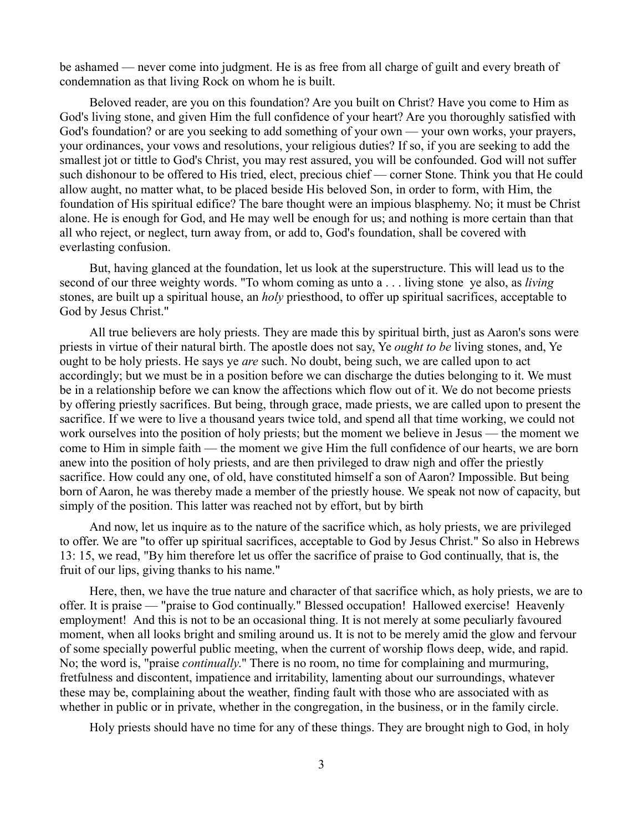be ashamed — never come into judgment. He is as free from all charge of guilt and every breath of condemnation as that living Rock on whom he is built.

Beloved reader, are you on this foundation? Are you built on Christ? Have you come to Him as God's living stone, and given Him the full confidence of your heart? Are you thoroughly satisfied with God's foundation? or are you seeking to add something of your own — your own works, your prayers, your ordinances, your vows and resolutions, your religious duties? If so, if you are seeking to add the smallest jot or tittle to God's Christ, you may rest assured, you will be confounded. God will not suffer such dishonour to be offered to His tried, elect, precious chief — corner Stone. Think you that He could allow aught, no matter what, to be placed beside His beloved Son, in order to form, with Him, the foundation of His spiritual edifice? The bare thought were an impious blasphemy. No; it must be Christ alone. He is enough for God, and He may well be enough for us; and nothing is more certain than that all who reject, or neglect, turn away from, or add to, God's foundation, shall be covered with everlasting confusion.

But, having glanced at the foundation, let us look at the superstructure. This will lead us to the second of our three weighty words. "To whom coming as unto a . . . living stone ye also, as *living* stones, are built up a spiritual house, an *holy* priesthood, to offer up spiritual sacrifices, acceptable to God by Jesus Christ."

All true believers are holy priests. They are made this by spiritual birth, just as Aaron's sons were priests in virtue of their natural birth. The apostle does not say, Ye *ought to be* living stones, and, Ye ought to be holy priests. He says ye *are* such. No doubt, being such, we are called upon to act accordingly; but we must be in a position before we can discharge the duties belonging to it. We must be in a relationship before we can know the affections which flow out of it. We do not become priests by offering priestly sacrifices. But being, through grace, made priests, we are called upon to present the sacrifice. If we were to live a thousand years twice told, and spend all that time working, we could not work ourselves into the position of holy priests; but the moment we believe in Jesus — the moment we come to Him in simple faith — the moment we give Him the full confidence of our hearts, we are born anew into the position of holy priests, and are then privileged to draw nigh and offer the priestly sacrifice. How could any one, of old, have constituted himself a son of Aaron? Impossible. But being born of Aaron, he was thereby made a member of the priestly house. We speak not now of capacity, but simply of the position. This latter was reached not by effort, but by birth

And now, let us inquire as to the nature of the sacrifice which, as holy priests, we are privileged to offer. We are "to offer up spiritual sacrifices, acceptable to God by Jesus Christ." So also in Hebrews 13: 15, we read, "By him therefore let us offer the sacrifice of praise to God continually, that is, the fruit of our lips, giving thanks to his name."

Here, then, we have the true nature and character of that sacrifice which, as holy priests, we are to offer. It is praise — "praise to God continually." Blessed occupation! Hallowed exercise! Heavenly employment! And this is not to be an occasional thing. It is not merely at some peculiarly favoured moment, when all looks bright and smiling around us. It is not to be merely amid the glow and fervour of some specially powerful public meeting, when the current of worship flows deep, wide, and rapid. No; the word is, "praise *continually*." There is no room, no time for complaining and murmuring, fretfulness and discontent, impatience and irritability, lamenting about our surroundings, whatever these may be, complaining about the weather, finding fault with those who are associated with as whether in public or in private, whether in the congregation, in the business, or in the family circle.

Holy priests should have no time for any of these things. They are brought nigh to God, in holy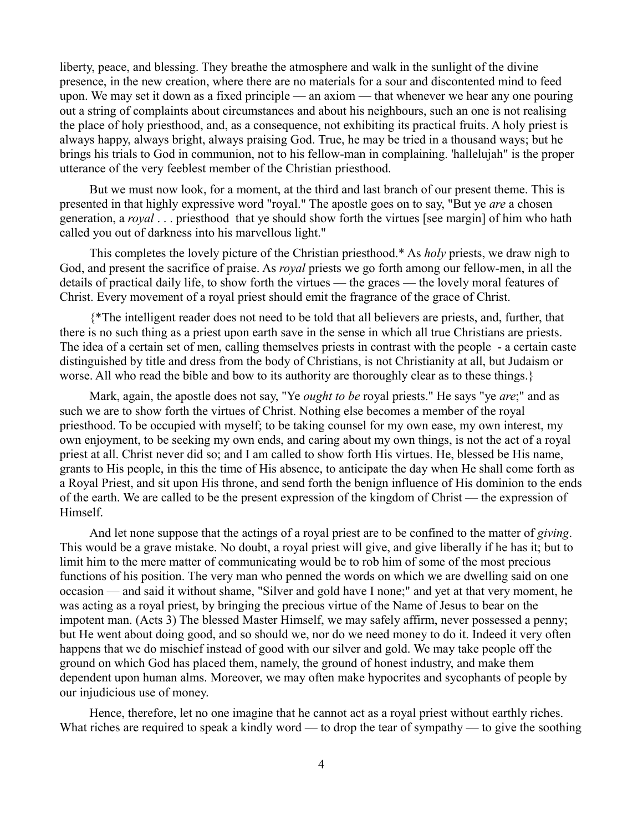liberty, peace, and blessing. They breathe the atmosphere and walk in the sunlight of the divine presence, in the new creation, where there are no materials for a sour and discontented mind to feed upon. We may set it down as a fixed principle — an axiom — that whenever we hear any one pouring out a string of complaints about circumstances and about his neighbours, such an one is not realising the place of holy priesthood, and, as a consequence, not exhibiting its practical fruits. A holy priest is always happy, always bright, always praising God. True, he may be tried in a thousand ways; but he brings his trials to God in communion, not to his fellow-man in complaining. 'hallelujah" is the proper utterance of the very feeblest member of the Christian priesthood.

But we must now look, for a moment, at the third and last branch of our present theme. This is presented in that highly expressive word "royal." The apostle goes on to say, "But ye *are* a chosen generation, a *royal* . . . priesthood that ye should show forth the virtues [see margin] of him who hath called you out of darkness into his marvellous light."

This completes the lovely picture of the Christian priesthood.\* As *holy* priests, we draw nigh to God, and present the sacrifice of praise. As *royal* priests we go forth among our fellow-men, in all the details of practical daily life, to show forth the virtues — the graces — the lovely moral features of Christ. Every movement of a royal priest should emit the fragrance of the grace of Christ.

{\*The intelligent reader does not need to be told that all believers are priests, and, further, that there is no such thing as a priest upon earth save in the sense in which all true Christians are priests. The idea of a certain set of men, calling themselves priests in contrast with the people - a certain caste distinguished by title and dress from the body of Christians, is not Christianity at all, but Judaism or worse. All who read the bible and bow to its authority are thoroughly clear as to these things.}

Mark, again, the apostle does not say, "Ye *ought to be* royal priests." He says "ye *are*;" and as such we are to show forth the virtues of Christ. Nothing else becomes a member of the royal priesthood. To be occupied with myself; to be taking counsel for my own ease, my own interest, my own enjoyment, to be seeking my own ends, and caring about my own things, is not the act of a royal priest at all. Christ never did so; and I am called to show forth His virtues. He, blessed be His name, grants to His people, in this the time of His absence, to anticipate the day when He shall come forth as a Royal Priest, and sit upon His throne, and send forth the benign influence of His dominion to the ends of the earth. We are called to be the present expression of the kingdom of Christ — the expression of Himself.

And let none suppose that the actings of a royal priest are to be confined to the matter of *giving*. This would be a grave mistake. No doubt, a royal priest will give, and give liberally if he has it; but to limit him to the mere matter of communicating would be to rob him of some of the most precious functions of his position. The very man who penned the words on which we are dwelling said on one occasion — and said it without shame, "Silver and gold have I none;" and yet at that very moment, he was acting as a royal priest, by bringing the precious virtue of the Name of Jesus to bear on the impotent man. (Acts 3) The blessed Master Himself, we may safely affirm, never possessed a penny; but He went about doing good, and so should we, nor do we need money to do it. Indeed it very often happens that we do mischief instead of good with our silver and gold. We may take people off the ground on which God has placed them, namely, the ground of honest industry, and make them dependent upon human alms. Moreover, we may often make hypocrites and sycophants of people by our injudicious use of money.

Hence, therefore, let no one imagine that he cannot act as a royal priest without earthly riches. What riches are required to speak a kindly word — to drop the tear of sympathy — to give the soothing